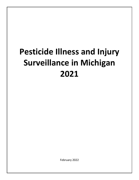# **Pesticide Illness and Injury Surveillance in Michigan 2021**

February 2022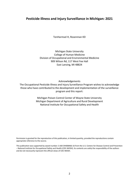# **Pesticide Illness and Injury Surveillance in Michigan: 2021**

TenHarmsel H, Rosenman KD

Michigan State University College of Human Medicine Division of Occupational and Environmental Medicine 909 Wilson Rd, 117 West Fee Hall East Lansing, MI 48824

Acknowledgements

The Occupational Pesticide Illness and Injury Surveillance Program wishes to acknowledge those who have contributed to the development and implementation of the surveillance program and this report:

> Michigan Poison Control Center of Wayne State University Michigan Department of Agriculture and Rural Development National Institute for Occupational Safety and Health

Permission is granted for the reproduction of this publication, in limited quantity, provided the reproductions contain appropriate reference to the source.

This publication was supported by award number 2 U60 OH008466-16 from the U.S. Centers for Disease Control and Prevention – National Institute for Occupational Safety and Health (CDC-NIOSH). Its contents are solely the responsibility of the authors and do not necessarily represent the official views of CDC-NIOSH.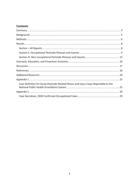# **Contents**

| Case Definition for Acute Pesticide-Related Illness and Injury Cases Reportable to the |  |
|----------------------------------------------------------------------------------------|--|
|                                                                                        |  |
|                                                                                        |  |
|                                                                                        |  |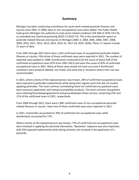# **Summary**

<span id="page-3-0"></span>Michigan has been conducting surveillance for acute work-related pesticide illnesses and injuries since 2001. In 2006, data on non-occupational cases were added. The Public Health Code grants Michigan the authority to track work-related conditions (PA 368 of 1978, Part 56, as amended) and chemical poisoning (R325.71-R325.75). This is the seventeenth report on pesticide-related illnesses and injuries in Michigan (2001-3, 2004, 2005, 2006, 2007, 2008, 2009, 2010, 2011, 2012, 2013, 2014, 2015-16, 2017-18, 2019, 2020). These 17 reports include 21 years of data.

From 2001 through 2021 there were 1,454 confirmed cases of occupational pesticide-related illnesses or injuries. Fifty-three of those confirmed cases were reported in 2021. The number of reported cases peaked in 2008. Disinfectants continued to be the cause of about half of the confirmed occupational cases (47% from 2001-2021) and were the cause of 45% of confirmed occupational cases in 2021. Many of these cases would not have occurred if disinfectant containers were properly labeled, not mixed, and used only in situations where their use was recommended.

In 2021, where activity of the exposed person was known, 20% of confirmed occupational cases were exposed to pesticides inadvertently while doing their regular work that did not involve applying pesticides. The most common contributing factor for confirmed occupational cases were excessive application and mixing incompatible products. The most common occupations were cleaning/housekeeping/janitorial and groundskeepers/lawn service, comprising 25% and 11% of the confirmed cases in 2021, respectively.

From 2006 through 2021, there were 2,887 confirmed cases of non-occupational pesticiderelated illnesses or injuries. Sixty-nine of those confirmed cases were reported in 2021.

In 2021, insecticides accounted for 29% of confirmed non-occupational cases while disinfectants accounted for 17%.

Where activity of the exposed person was known, 72% of confirmed non-occupational cases were involved in applying the pesticide themselves. 'Bystander' exposure was also important, with 25% exposed inadvertently while doing activities not involved in the application of a pesticide.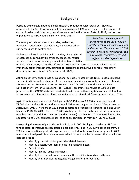# **Background**

<span id="page-4-0"></span>Pesticide poisoning is a potential public health threat due to widespread pesticide use. According to the U.S. Environmental Protection Agency (EPA), more than 1.1 billion pounds of conventional (non-disinfectant) pesticides were used in the United States in 2012, the last year of published data (Atwood and Paisley-Jones, 2017).

The term pesticide includes insecticides, herbicides, fungicides, rodenticides, disinfectants, and various other substances used to control pests.

Evidence has linked pesticides with a variety of acute health effects such as conjunctivitis, dyspnea, headache, nausea, seizures, skin irritation, and upper respiratory tract irritation

*Pesticides are a category of chemicals that are used to kill or control insects, weeds, fungi, rodents, and microbes. There are over 16,000 different pesticides registered for sale in Michigan, containing over 600 different active ingredients.*

(Roberts and Reigart, 2013). The effects of chronic or long-term exposures include cancers, immune function impairments, neurological disorders, reproductive disorders, respiratory disorders, and skin disorders (Schenker et al., 2007).

Acting on concerns about acute occupational pesticide-related illness, NIOSH began collecting standardized information about acute occupational pesticide exposure from selected states in 1998 (Centers for Disease Control and Prevention (CDC), 2017) under the Sentinel Event Notification System for Occupational Risk (SENSOR) program. An analysis of 1998-99 data provided by the SENSOR states demonstrated that the surveillance system was a useful tool to assess acute pesticide-related illness and to identify associated risk factors (Calvert et al., 2004).

Agriculture is a major industry in Michigan with 52,194 farms, 80,000 farm operators and 77,000 hired workers. Hired workers include full time and migrant workers (US Department of Agriculture, 2017). There are 16,220 different pesticide products registered for sale and use in Michigan (MDARD, 2020). There are 6,700 privately certified agricultural pesticide applicators (number overlaps with farm operators/workers above), another 16,100 commercially certified applicators and 2,097 businesses licensed to apply pesticides in Michigan (MDARD, 2021).

Recognizing the extent of pesticide use in Michigan, in 2001 Michigan joined other NIOSHfunded states to institute an occupational pesticide illness and injury surveillance program. In 2006, non-occupational pesticide exposures were added to the surveillance program. In 2006, non-occupational pesticide exposures were added to the surveillance system. The surveillance data are used to:

- Identify groups at risk for pesticide-related illnesses;
- Identify clusters/outbreaks of pesticide-related illnesses;
- Detect trends;
- Identify high-risk active ingredients;
- <span id="page-4-1"></span>• Identify illnesses that occur even when the pesticide is used correctly; and
- Identify and refer cases to regulatory agencies for interventions.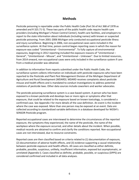# **Methods**

Pesticide poisoning is reportable under the Public Health Code (Part 56 of Act 368 of 1978 as amended and R 325.71-5). These two parts of the public health code require health care providers (including Michigan's Poison Control Center), health care facilities, and employers to report to the state information about individuals (including names) with known or suspected pesticide poisoning. From 2001-2006 Michigan only conducted occupational pesticide illness and injury surveillance. Beginning in 2006, non-occupational cases were included in the surveillance system. At that time, poison control began reporting cases in which the reason for exposure was coded "Unintentional – Environmental". To fully capture all environmental exposures, beginning in 2012 reporting included the exposure reasons of "Unintentional – General", "Unintentional – Misuse", and "Unintentional – Unknown". Due to limited resources, from 2014 onward, non-occupational cases were only included in the surveillance system if care from a medical provider was obtained.

In addition to information from reports submitted under the Public Health Code, the surveillance system collects information on individuals with pesticide exposures who have been reported to the Pesticide and Plant Pest Management Division of the Michigan Department of Agriculture and Rural Development (MDARD). MDARD receives complaints about pesticide misuse and health effects and is mandated to conduct investigations to address potential violations of pesticide laws. Other data sources include coworkers and worker advocates.

The pesticide poisoning surveillance system is a case-based system. A person who has been exposed to a known pesticide and develops two or more signs or symptoms after that exposure, that could be related to the exposure based on known toxicology, is considered a confirmed case. See Appendix I for more details of the case definition. An event is the incident where the case was exposed. More than one person may be exposed at an event. Data are collected according to standardized variable definitions in a database developed for NIOSH's SENSOR-Pesticide program.

Reported occupational cases are interviewed to determine the circumstances of the reported exposure, the symptoms they experienced, the name of the pesticide, the name of the workplace where the exposure occurred, and other details about the incident. When possible, medical records are obtained to confirm and clarify the conditions reported. Non-occupational cases are not interviewed, due to resource constraints.

Reported cases are then classified based on criteria related to (1) documentation of exposure, (2) documentation of adverse health effects, and (3) evidence supporting a causal relationship between pesticide exposure and health effects. All cases are classified as either definite, probable, possible, suspicious, unlikely, insufficient information, exposed but asymptomatic, or unrelated (Appendix I). Cases classified as definite, probable, possible, or suspicious (DPPS) are considered confirmed and included in all data analyses.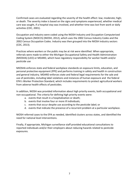Confirmed cases are evaluated regarding the severity of the health effect: low; moderate; high; or death. The severity index is based on the signs and symptoms experienced, whether medical care was sought, if a hospital stay was involved, and whether time was lost from work or daily activities (CDC, 2001).

Occupation and industry were coded using the NIOSH Industry and Occupation Computerized Coding System (NIOCCS) (NIOSH, 2012), which uses the 2002 Census Industry Codes and the 2002 Census Occupation Codes. Industry was then grouped into the NIOSH industry sectors (CDC, 2013).

Practices where workers or the public may be at risk were identified. When appropriate, referrals were made to either the Michigan Occupational Safety and Health Administration (MIOSHA) (LEO) or MDARD, which have regulatory responsibility for worker health and/or pesticide use

MIOSHA enforces state and federal workplace standards on exposure limits, education, and personal protective equipment (PPE) and performs training in safety and health in construction and general industry. MDARD enforces state and federal legal requirements for the sale and use of pesticides, including label violations and instances of human exposure and the federal EPA's Worker Protection Standard, which includes requirements to protect agricultural workers from adverse health effects of pesticides.

In addition, NIOSH was provided information about high priority events, both occupational and non-occupational. The criteria for defining high priority events were:

- a. events that result in a hospitalization or death;
- b. events that involve four or more ill individuals;
- c. events that occur despite use according to the pesticide label; or
- d. events that indicate the presence of a recurrent problem at a particular workplace.

NIOSH referred cases to the EPA as needed, identified clusters across states, and identified the need for national level interventions.

Finally, if appropriate, Michigan surveillance staff provided educational consultations to reported individuals and/or their employers about reducing hazards related to pesticide exposures.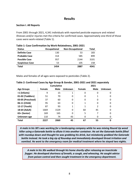# **Results**

### <span id="page-7-1"></span><span id="page-7-0"></span>**Section I. All Reports**

From 2001 through 2021, 4,341 individuals with reported pesticide exposure and related illnesses and/or injuries met the criteria for confirmed cases. Approximately one-third of those cases were work-related (Table 1).

| <b>Status</b>          | <b>Occupational</b> | <b>Non-Occupational</b> | Total |
|------------------------|---------------------|-------------------------|-------|
| <b>Definite Case</b>   | 130                 | 53                      | 183   |
| <b>Probable Case</b>   | 314                 | 585                     | 899   |
| <b>Possible Case</b>   | 957                 | 2144                    | 3101  |
| <b>Suspicious Case</b> | 53                  | 105                     | 158   |
| Total                  | 1454                | 2887                    | 4341  |

Males and females of all ages were exposed to pesticides (Table 2).

|                   |        | <b>Cumulative</b> |                |        | 2021 |         |
|-------------------|--------|-------------------|----------------|--------|------|---------|
| <b>Age Groups</b> | Female | <b>Male</b>       | <b>Unknown</b> | Female | Male | Unknown |
| <1 (Infants)      | 9      | 15                | 1              | 0      | 0    | O       |
| 01-02 (Toddlers)  | 51     | 70                | 0              | 0      |      | 0       |
| 03-05 (Preschool) | 37     | 60                | 0              | 0      | 0    | 0       |
| 06-11 (Child)     | 95     | 63                | 0              |        | 0    | 0       |
| 12-17 (Youth)     | 87     | 93                | 1              |        | 2    | 0       |
| 18-64 (Adult)     | 1669   | 1529              | 0              | 60     | 45   | 0       |
| 65+ (Senior)      | 169    | 165               | $\Omega$       | 5      |      | 0       |
| Unknown age       | 110    | 74                | 43             | 0      | 0    | 0       |
| <b>Total</b>      | 2227   | 2069              | 45             | 67     | 55   | 0       |

# **Table 2: Confirmed Cases by Age Group & Gender, 2001-2021 and 2021 separately**

*A male in his 30's was working for a landscaping company while he was mixing Round Up weed killer using a Gatorade bottle to dilute it into another container. He set the Gatorade bottle filled with roundup down and thought he was grabbing his drink, but mistakenly grabbed the Gatorade bottle instead. He took a big sip of Roundup and immediately developed throat irritation and vomited. He went to the emergency room for medical treatment where he stayed two nights.*

*A male in his 30s walked through his home shortly after releasing an insecticide fogger. He developed shortness of breath, a cough, and wheezing. He sought advice from poison control and then sought treatment in the emergency department.*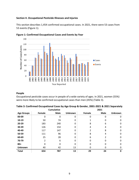#### <span id="page-8-0"></span>**Section II. Occupational Pesticide Illnesses and Injuries**

This section describes 1,454 confirmed occupational cases. In 2021, there were 53 cases from 53 events (Figure 1).





#### **People**

Occupational pesticide cases occur in people of a wide variety of ages. In 2021, women (55%) were more likely to be confirmed occupational cases than men (45%) (Table 3).

|                   |        | <b>Cumulative</b> |                |        | 2021          |                |  |
|-------------------|--------|-------------------|----------------|--------|---------------|----------------|--|
| <b>Age Groups</b> | Female | <b>Male</b>       | <b>Unknown</b> | Female | <b>Male</b>   | <b>Unknown</b> |  |
| 00-09             | 0      | 0                 | 0              | 0      | 0             | 0              |  |
| 10-19             | 50     | 74                | 0              |        | 0             | 0              |  |
| 20-29             | 183    | 240               | 0              | 8      | 6             | 0              |  |
| 30-39             | 126    | 154               | O              | 4      | 4             | 0              |  |
| 40-49             | 117    | 147               | O              | 2      | 8             | 0              |  |
| 50-59             | 111    | 96                | O              | 8      | 4             | $\Omega$       |  |
| 60-69             | 25     | 28                | $\Omega$       | 6      | $\mathcal{P}$ | $\Omega$       |  |
| 70-79             | 2      | 6                 | O              | 0      | $\Omega$      | $\Omega$       |  |
| $80 +$            | 0      | $\Omega$          | 0              | 0      | 0             | 0              |  |
| <b>Unknown</b>    | 40     | 42                | 13             | 0      | 0             | 0              |  |
| <b>Total</b>      | 654    | 787               | 13             | 29     | 24            | 0              |  |

| Table 3: Confirmed Occupational Cases by Age Group & Gender, 2001-2021 & 2021 Separately |  |  |
|------------------------------------------------------------------------------------------|--|--|
|------------------------------------------------------------------------------------------|--|--|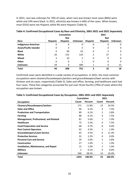In 2021, race was unknown for 70% of cases, when race was known most cases (86%) were white and 14% were black. In 2021, ethnicity was known in 66% of the cases. When known, most (91%) were not Hispanic while 9% were Hispanic (Table 4).

|                               | <b>Cumulative</b> |                 |                |                 | 2021            |                |
|-------------------------------|-------------------|-----------------|----------------|-----------------|-----------------|----------------|
|                               |                   | <b>Not</b>      |                |                 | <b>Not</b>      |                |
| Race                          | <b>Hispanic</b>   | <b>Hispanic</b> | <b>Unknown</b> | <b>Hispanic</b> | <b>Hispanic</b> | <b>Unknown</b> |
| <b>Indigenous American</b>    | 0                 | 6               | 0              | 0               | 0               |                |
| <b>Asian/Pacific Islander</b> | 0                 | 3               | 3              | 0               | 0               |                |
| <b>Black</b>                  | 0                 | 60              | 33             | 0               | 5               |                |
| White                         | 26                | 515             | 124            | 2               | 27              |                |
| <b>Mixed</b>                  | 3                 | 24              | 2              | 0               | 0               | 0              |
| <b>Other</b>                  | 6                 | 0               | 1              | 0               | 0               | 0              |
| <b>Unknown</b>                | 59                | 0               | 589            |                 | 0               | 15             |
| <b>Total</b>                  | 94                | 608             | 752            | 3               | 32              | 18             |

**Table 4: Confirmed Occupational Cases by Race and Ethnicity, 2001-2021 and 2021 Separately**

Confirmed cases were identified in a wide variety of occupations. In 2021, the most common occupations were cleaners/housekeepers/janitors and groundskeepers/lawn service with thirteen and six cases, respectively (Table 5). Sales and office, farming, and healthcare each had four cases. These five categories accounted for just over three fourths (79%) of cases where the occupation was known.

|                                              | <b>Cumulative</b> |         | 2021           |         |  |
|----------------------------------------------|-------------------|---------|----------------|---------|--|
| <b>Occupation</b>                            | <b>Count</b>      | Percent | Count          | Percent |  |
| <b>Cleaners/Housekeepers/Janitors</b>        | 171               | 11.8%   | 13             | 24.5%   |  |
| <b>Sales and Office</b>                      | 90                | 6.2%    | 4              | 7.5%    |  |
| <b>Production and Transportation</b>         | 89                | 6.1%    | $\mathcal{P}$  | 3.8%    |  |
| <b>Farming</b>                               | 88                | 6.1%    | 4              | 7.5%    |  |
| <b>Management, Professional, and Related</b> | 81                | 5.6%    | 1              | 1.9%    |  |
| <b>Healthcare</b>                            | 75                | 5.2%    | 4              | 7.5%    |  |
| <b>Food Preparation and Service</b>          | 68                | 4.7%    | 0              | 0.0%    |  |
| <b>Pest Control Operators</b>                | 62                | 4.3%    | 1              | 1.9%    |  |
| Groundskeepers/Lawn Service                  | 65                | 4.5%    | 6              | 11.3%   |  |
| <b>Protective Services</b>                   | 32                | 2.2%    | 0              | 0.0%    |  |
| <b>Personal Care and Service</b>             | 29                | 2.0%    | $\overline{2}$ | 3.8%    |  |
| <b>Construction</b>                          | 27                | 1.9%    | 1              | 1.9%    |  |
| Installation, Maintenance, and Repair        | 15                | 1.0%    | $\mathbf{1}$   | 1.9%    |  |
| <b>Military</b>                              | $\overline{2}$    | 0.1%    | 0              | $0.0\%$ |  |
| <b>Unknown</b>                               | 560               | 38.5%   | 14             | 26.4%   |  |
| <b>Total</b>                                 | 1454              | 100.0%  | 53             | 100.0%  |  |

# **Table 5: Confirmed Occupational Cases by Occupation, 2001-2021 and 2021 Separately**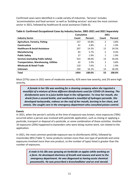Confirmed cases were identified in a wide variety of industries. 'Services' includes 'accommodation and food services' as well as 'building services' and was the most common sector in 2021, followed by healthcare & social assistance (Table 6).

|                                               | Cumulative |         | 2021           |         |
|-----------------------------------------------|------------|---------|----------------|---------|
| <b>Industry Sector</b>                        | Count      | Percent | Count          | Percent |
| <b>Agriculture, Forestry, Fishing</b>         | 157        | 10.8%   | 2              | 3.8%    |
| Construction                                  | 41         | 2.8%    | 1              | 1.9%    |
| <b>Healthcare &amp; Social Assistance</b>     | 207        | 14.2%   | 13             | 24.5%   |
| <b>Manufacturing</b>                          | 83         | 5.7%    | 5              | 9.4%    |
| <b>Public Safety</b>                          | 27         | 1.9%    | 1              | 1.9%    |
| <b>Services (excluding Public Safety)</b>     | 553        | 38.0%   | 14             | 26.4%   |
| <b>Transportation, Warehousing, Utilities</b> | 42         | 2.9%    | $\overline{2}$ | 3.8%    |
| <b>Wholesale &amp; Retail Trade</b>           | 110        | 7.6%    | 1              | 1.9%    |
| <b>Unknown</b>                                | 234        | 16.1%   | 14             | 26.4%   |
| <b>Total</b>                                  | 1454       | 100.0%  | 53             | 100.0%  |

**Table 6: Confirmed Occupational Cases by Industry Sector, 2001-2021 and 2021 Separately**

Most (57%) cases in 2021 were of moderate severity, 42% were low severity, and 2% were high severity.

*A female in her 50s was working for a cleaning company when she ingested a mouthful of a mixture of three different disinfectants used for COVID-19 cleaning. The disinfectants were in a juice bottle kept in the refrigerator. To rinse her mouth, she drank from a second bottle, and swallowed a mouthful of hydrogen peroxide. She developed tachycardia, redness on the roof of her mouth, burning in her chest, and emesis. She sought care in the emergency department who consulted poison control.*

# **Events**

In 2021, when the person's activity at the time of exposure was known, most exposures (78%) occurred when a person was involved with pesticide application, such as mixing or applying a pesticide, transport or disposal of a pesticide, or some combination of these activities. Another 10 exposures (20%) happened to bystanders who were doing routine work, not related to the application.

In 2021, the most common pesticide exposure was to disinfectants (45%), followed by insecticides (8%) (Table 7). Some products contain more than one type of pesticide and some exposures involved more than one product, so the number of types listed is greater than the number of exposures.

> *A male in his 30s was spraying an herbicide on apples while working on a farm. He developed shortness of breath and nausea and went to the emergency department. He was diagnosed as having acute chemical pneumonitis. He was prescribed a bronchodilator and an oral steroid.*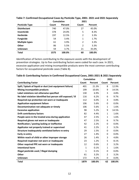|                       | <b>Cumulative</b> |         | 2021          |         |
|-----------------------|-------------------|---------|---------------|---------|
| <b>Pesticide Type</b> | Count             | Percent | Count         | Percent |
| <b>Disinfectant</b>   | 740               | 47.0%   | 27            | 45.0%   |
| <b>Insecticide</b>    | 378               | 24.0%   | 5             | 8.3%    |
| <b>Herbicide</b>      | 197               | 12.5%   | 2             | 3.3%    |
| <b>Fungicide</b>      | 54                | 3.4%    | 1             | 1.7%    |
| <b>Multiple types</b> | 61                | 3.9%    | $\mathcal{P}$ | 3.3%    |
| <b>Other</b>          | 86                | 5.5%    | $\mathcal{P}$ | 3.3%    |
| <b>Unknown</b>        | 59                | 3.7%    | 21            | 35.0%   |
| Total                 | 1575              | 100.0%  | 60            | 100.0%  |

# **Table 7: Confirmed Occupational Cases by Pesticide Type, 2001- 2021 and 2021 Separately**

Identification of factors contributing to the exposure assists with the development of prevention strategies. Up to five contributing factors were coded for each case. In 2021, excessive application and mixing incompatible products were the most common contributing factors for occupational pesticide cases (Table 8).

|                                                              | <b>Cumulative</b> |         |                | 2021    |
|--------------------------------------------------------------|-------------------|---------|----------------|---------|
| <b>Contributing Factor</b>                                   | Count             | Percent | Count          | Percent |
| Spill / Splash of liquid or dust (not equipment failure)     | 401               | 21.3%   | 8              | 12.9%   |
| <b>Mixing incompatible products</b>                          | 199               | 10.6%   | 9              | 14.5%   |
| Label violations not otherwise specified                     | 130               | 6.9%    | 3              | 4.8%    |
| No label violation identified but person still exposed / ill | 116               | 6.2%    | 6              | 9.7%    |
| Required eye protection not worn or inadequate               | 112               | 6.0%    | 3              | 4.8%    |
| <b>Application equipment failure</b>                         | 106               | 5.6%    | 0              | 0.0%    |
| Decontamination not adequate or timely                       | 106               | 5.6%    | 1              | 1.6%    |
| <b>Excessive application</b>                                 | 98                | 5.2%    | 9              | 14.5%   |
| <b>Drift contributory factors</b>                            | 82                | 4.4%    | $\mathbf{1}$   | 1.6%    |
| People were in the treated area during application           | 47                | 2.5%    | $\mathbf{1}$   | 1.6%    |
| Required gloves not worn or inadequate                       | 47                | 2.5%    | 6              | 9.7%    |
| Notification / posting lacking or ineffective                | 42                | 2.2%    | 0              | 0.0%    |
| Applicator not properly trained or supervised                | 41                | 2.2%    | $\overline{2}$ | 3.2%    |
| Structure inadequately ventilated before re-entry            | 29                | 1.5%    | 0              | 0.0%    |
| Early re-entry                                               | 27                | 1.4%    | 0              | 0.0%    |
| Within reach of child or other improper storage              | 26                | 1.4%    | 3              | 4.8%    |
| Required respirator not worn or inadequate                   | 23                | 1.2%    | 5              | 8.1%    |
| Other required PPE not worn or inadequate                    | 12                | 0.6%    | 2              | 3.2%    |
| <b>Intentional harm</b>                                      | $\mathbf{1}$      | 0.1%    | 1              | 1.6%    |
| Illegal pesticide used / Illegal dumping                     | 1                 | 0.1%    | 0              | 0.0%    |
| <b>Other</b>                                                 | 61                | 3.2%    | 2              | 3.2%    |
| <b>Unknown</b>                                               | 172               | 9.2%    | 0              | 0.0%    |
| <b>Total</b>                                                 | 1879              | 100.0%  | 62             | 100.0%  |

**Table 8: Contributing Factors in Confirmed Occupational Cases, 2001-2021 & 2021 Separately**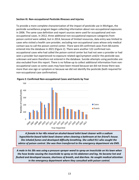### <span id="page-12-0"></span>**Section III. Non-occupational Pesticide Illnesses and Injuries**

To provide a more complete characterization of the impact of pesticide use in Michigan, the pesticide surveillance program began collecting information about non-occupational exposures in 2006. The same case definition and report sources were used for occupational and nonoccupational cases. In 2012, three additional non-occupational exposure categories from poison control were added, but in 2014, because of limited resources, data entry was limited to cases who visited a health care provider, excluding non-occupational cases whose only medical contact was to call the poison control center. There were 69 confirmed cases from 68 events entered into the database in 2021 (Figure 2). There were another 122 confirmed nonoccupational cases who had called the poison control center but had not seen a provider or had seen a provider but experienced no exposure related sign/symptom and/or the pesticide was unknown and were therefore not entered in the database. Suicide attempts using pesticides are also excluded from this report. There is no follow-up to collect additional information from nonoccupational cases so some cases may have been missed because we did not know there was more than one sign or symptom or because we did not identify the pesticide (both required for non-occupational case confirmation).



**Figure 2: Confirmed Non-occupational Cases and Events by Year**

*A female in her 40s mixed an alcohol-based toilet bowl cleaner with a sodium hypochlorite-based toilet bowl cleaner when cleaning a bathroom at her friend's house. She inhaled fumes and developed difficulty breathing. She called 911 who sought the advice of poison control. She was then transferred to the emergency department via EMS.*

*A male in his 30s was using a pressure sprayer wand to spray an insecticide on his lawn when the hose broke causing the insecticide to spray on his abdomen and leg. He became hot and flushed and developed nausea, shortness of breath, and diarrhea. He sought medical attention in the emergency department where they consulted with poison control.*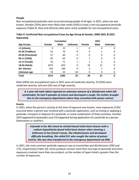# **People**

Non-occupational pesticide cases occurred among people of all ages. In 2021, when sex was known, females (55%) were more likely than males (45%) to have a non-occupational pesticide exposure (Table 9). Race and ethnicity data were rarely available for non-occupational cases.

|                   |        | <b>Cumulative</b> |                |        | 2021        |                |
|-------------------|--------|-------------------|----------------|--------|-------------|----------------|
| <b>Age Groups</b> | Female | <b>Male</b>       | <b>Unknown</b> | Female | <b>Male</b> | <b>Unknown</b> |
| <1 (Infants)      | 9      | 15                | 1              | 0      | 0           | 0              |
| 01-02 (Toddlers)  | 51     | 70                | 0              | 0      |             | 0              |
| 03-05 (Preschool) | 37     | 60                | 0              | 0      | 0           | 0              |
| 06-11 (Child)     | 95     | 63                | 0              | 1      | 0           | 0              |
| 12-17 (Youth)     | 76     | 71                |                | 1      | 2           | 0              |
| 18-64 (Adult)     | 1072   | 822               | 0              | 33     | 21          | 0              |
| 65+ (Senior)      | 163    | 149               | 0              | 3      |             | 0              |
| Unknown age       | 70     | 32                | 30             | 0      | 0           | 0              |
| <b>Total</b>      | 1573   | 1282              | 32             | 38     | 31          |                |

**Table 9: Confirmed Non-occupational Cases by Age Group & Gender, 2006-2021 & 2021 Separately**

Most (64%) non-occupational cases in 2021 were of moderate severity, 23 (33%) were moderate severity, and one (2%) was of high severity.

*A 1-year-old male infant ingested an unknown amount of a disinfectant while left unattended. He had 4 episodes of emesis and developed a cough. His mother brought him to the emergency department where they consulted with poison control.*

# **Events**

In 2021, when the person's activity at the time of exposure was known, most exposures (72%) occurred when a person was involved with a pesticide application, such as mixing or applying a pesticide, transport or disposal of a pesticide, or some combination of these activities. Another 25% happened to bystanders and 1% happened during application of a pesticide to a person (themselves or another).

> *A female in her 40s mixed an alcohol-based toilet bowl cleaner with a sodium hypochlorite-based toilet bowl cleaner when cleaning a bathroom at her friend's house. She inhaled fumes and developed difficulty breathing. She called 911 who sought the advice of poison control. She was then transferred to the emergency department via EMS.*

In 2021, the most common pesticide exposure was to insecticides and disinfectants (29% and 17%, respectively) (Table 10). Some products contain more than one type of pesticide and some exposures involved more than one product, so the number of types listed is greater than the number of exposures.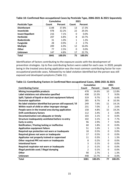|                         | <b>Cumulative</b> |         | 2021          |         |  |  |
|-------------------------|-------------------|---------|---------------|---------|--|--|
| <b>Pesticide Type</b>   | Count             | Percent | Count         | Percent |  |  |
| <b>Disinfectant</b>     | 1148              | 37.8%   | 13            | 17.3%   |  |  |
| <b>Insecticide</b>      | 978               | 32.2%   | 22            | 29.3%   |  |  |
| <b>Insect Repellent</b> | 216               | 7.1%    | 0             | 0.0%    |  |  |
| <b>Herbicide</b>        | 207               | 6.8%    | 8             | 10.7%   |  |  |
| <b>Rodenticide</b>      | 31                | 1.0%    | 1             | 1.3%    |  |  |
| <b>Fungicide</b>        | 28                | 0.9%    | $\mathcal{P}$ | 2.7%    |  |  |
| <b>Multiple</b>         | 209               | 6.9%    | 12            | 16.0%   |  |  |
| <b>Other</b>            | 77                | 2.5%    | 0             | 0.0%    |  |  |
| <b>Unknown</b>          | 147               | 4.8%    | 17            | 22.7%   |  |  |
| Total                   | 3041              | 100.0%  | 75            | 100.0%  |  |  |

# **Table 10: Confirmed Non-occupational Cases by Pesticide Type, 2006-2021 & 2021 Separately**

Identification of factors contributing to the exposure assists with the development of prevention strategies. Up to five contributing factors were coded for each case. In 2020, people being in the treated area during application was the most common contributing factor for nonoccupational pesticide cases, followed by no label violation identified but the person was still exposed and developed symptoms (Table 11).

|                                                              | <b>Cumulative</b> |         | 2021           |         |  |
|--------------------------------------------------------------|-------------------|---------|----------------|---------|--|
| <b>Contributing Factor</b>                                   | Count             | Percent | Count          | Percent |  |
| <b>Mixing incompatible products</b>                          | 478               | 14.6%   | 10             | 12.8%   |  |
| Label violations not otherwise specified                     | 438               | 13.3%   | 7              | 9.0%    |  |
| Spill / Splash of liquid or dust (not equipment failure)     | 319               | 9.7%    | 5              | 6.4%    |  |
| <b>Excessive application</b>                                 | 285               | 8.7%    | 8              | 10.3%   |  |
| No label violation identified but person still exposed / ill | 249               | 7.6%    | 11             | 14.1%   |  |
| Within reach of child or other improper storage              | 231               | 7.0%    | $\overline{2}$ | 2.6%    |  |
| People were in the treated area during application           | 158               | 4.8%    | 15             | 19.2%   |  |
| <b>Drift contributory factors</b>                            | 112               | 3.4%    | 3              | 3.8%    |  |
| Decontamination not adequate or timely                       | 103               | 3.1%    | 0              | 0.0%    |  |
| Structure inadequately ventilated before re-entry            | 102               | 3.1%    | 6              | 7.7%    |  |
| Early re-entry                                               | 96                | 2.9%    | 7              | 9.0%    |  |
| Notification / Posting lacking or ineffective                | 60                | 1.8%    | 0              | 0.0%    |  |
| <b>Application equipment failure</b>                         | 51                | 1.6%    | $\mathbf{1}$   | 1.3%    |  |
| Required eye protection not worn or inadequate               | 18                | 0.5%    | 0              | 0.0%    |  |
| Required gloves not worn or inadequate                       | 17                | 0.5%    | 0              | 0.0%    |  |
| Applicator not properly trained or supervised                | 11                | 0.3%    | 1              | 1.3%    |  |
| Other required PPE not worn or inadequate                    | 8                 | 0.2%    | 0              | 0.0%    |  |
| <b>Intentional harm</b>                                      | 3                 | 0.1%    | 0              | 0.0%    |  |
| Required respirator not worn or inadequate                   | $\overline{2}$    | 0.1%    | 0              | 0.0%    |  |
| Illegal pesticide used / illegal dumping                     | $\overline{2}$    | 0.1%    | 0              | 0.0%    |  |
| <b>Other</b>                                                 | 90                | 2.7%    | 1              | 1.3%    |  |
| <b>Unknown</b>                                               | 448               | 13.7%   | 0              | 0.0%    |  |
| Total                                                        | 3281              | 100.0%  | 77             | 100.0%  |  |

#### **Table 11: Contributing Factors in Confirmed Non-occupational Cases, 2006-2021 & 2021**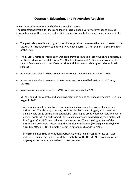# **Outreach, Education, and Prevention Activities**

## <span id="page-15-0"></span>*Publications, Presentations, and Other Outreach Activities*

The Occupational Pesticide Illness and Injury Program used a variety of avenues to provide information about the program and pesticide safety to stakeholders and the general public. In 2021:

- The pesticide surveillance program coordinator provided case narratives each quarter to the MDARD Pesticide Advisory Committee (PAC) each quarter. Dr. Rosenman is also a member of the PAC.
- The MDHHS Pesticide Information webpage provided links to all previous annual reports, a pesticide education booklet, "What You Need to Know about Pesticides and Your Health", several fact sheets, and over 150 other sites with information about pesticides and their safe use.
- A press release about Poison Prevention Week was released in March by MDHHS.
- A press release about recreational water safety was released before Memorial Day by MDHHS.
- No exposures were reported to NIOSH from cases reported in 2021.
- MDARD and MIOSHA both conducted investigations on one case of a disinfectant used in a fogger in 2021.

 An auto manufacturer contracted with a cleaning company to provide cleaning and disinfection. The cleaning company used the disinfectant in a fogger, which was not an allowable usage on the disinfectant label, and fogged areas where workers who were positive for COVID-19 had worked. The cleaning company ceased using the disinfectant in a fogger after MIOSHA conducted their inspection. The active ingredients of the disinfectant used were Didecyl dimethyl ammonium chloride (10.14%) and n-Alkyl (C14 50%, C12 40%, C16 10% ) dimethyl benzyl ammonium chloride (6.76%).

 MIOSHA did not issue any citations pertaining to the fogger/respirator use as it was outside of their scope and referred the case to MDARD . The MDARD investigation was ongoing at the time this annual report was prepared.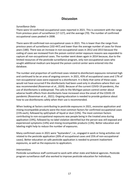# **Discussion**

## <span id="page-16-0"></span>*Surveillance Data*

There were 53 confirmed occupational cases reported in 2021. This is consistent with the range from previous years of surveillance (17-127), and the average (70). The number of confirmed occupational cases peaked in 2008.

There were 69 confirmed non-occupational cases in 2021. This is lower than the range from previous years of surveillance (102-447) and lower than the average number of cases for those years (180). There was an increase in non-occupational cases in 2012 and 2013 because the coding of cases we reviewed from the poison control center exposure reasons was expanded to capture all non-occupational cases. The number went down again in 2014 because, due to the limited resources of the pesticide surveillance program, only non-occupational cases who sought additional medical care beyond the poison control center were entered into the database.

The number and proportion of confirmed cases related to disinfectant exposures remained high and continued to be an area of ongoing concern. In 2021, 45% of occupational cases and 17% of non-occupational cases were exposed to a disinfectant. It is likely that some of these cases would not have occurred if the disinfectants had been used only in situations where their use was recommended (Rosenman et al., 2020). Because of the current COVID-19 pandemic, the use of disinfectants is widespread. The calls to the Michigan poison control center about adverse health effects from disinfectants have increased since the onset of the COVID-19 pandemic (Rosenman et al., 2021). Ongoing education is needed to provide guidance about how to use disinfectants safely when their use is recommended.

When looking at factors contributing to pesticide exposures in 2021, excessive application and mixing incompatible products were the most common factors for confirmed occupational cases (15% each), followed by spill/splash of liquid or dust (13%). The most common factors contributing to non-occupational exposures was people being in the treated area during application (19%), followed by no label violation identified but the person was still exposed and experienced symptoms (14%) and mixing incompatible products (13%). Better education and labeling might help to reduce the number of exposures.

Many confirmed cases in 2021 were "bystanders", i.e., engaged in work or living activities not related to the pesticide application (20% of occupational cases and 25% of non-occupational cases). Better education on safe pesticide application is needed to prevent inadvertent exposures, as well as the exposures to applicators.

#### *Interventions*

Pesticide surveillance staff continued to work with other state and federal agencies. Pesticide program surveillance staff also worked to improve pesticide education for individuals,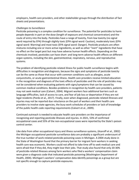employers, health care providers, and other stakeholder groups through the distribution of fact sheets and presentations.

## *Challenges to Surveillance*

Pesticide poisoning is a complex condition for surveillance. The potential for pesticides to harm people depends in part on the dose (length of exposure and chemical concentration) and the route of entry into the body. Pesticides have a range of toxicity, from low toxicity (no signal word required by EPA) through slightly toxic (EPA signal word: Caution), moderately toxic (EPA signal word: Warning) and most toxic (EPA signal word: Danger). Pesticide products are often mixtures including one or more active ingredients, as well as other "inert" ingredients that have no effect on the target pest but may have adverse human health effects. Depending on the chemicals involved, pesticides can have short- and long-term adverse health effects on different organ systems, including the skin, gastrointestinal, respiratory, nervous, and reproductive systems.

The problem of identifying pesticide-related illness for public health surveillance begins with difficulties in recognition and diagnosis, because the signs and symptoms of pesticide toxicity can be the same as those that occur with common conditions such as allergies, acute conjunctivitis, or acute gastrointestinal illness. Health care providers receive limited education in the recognition and diagnosis of the toxic effects of pesticides and the role of pesticides may not be considered when evaluating patients with signs/symptoms that can be caused by common medical conditions. Besides problems in recognition by health care providers, patients may not seek medical care (Calvert, 2004). Migrant workers face additional barriers such as language difficulties, lack of access to care, and fear of job loss or deportation if they are not legal residents (Pardo et al., 2017). Finally, even when diagnosed, pesticide-related illnesses and injuries may not be reported due reluctance on the part of workers and their health care providers to involve state agencies, the busy work schedules of providers or lack of knowledge of the public health code reporting requirements (Calvert et al., 2009).

Continued outreach is needed to educate health care providers on the importance of recognizing and reporting pesticide illnesses and injuries. In 2021, 53% of confirmed occupational cases and 55% of the non-occupational cases were reported by the State's poison control center.

Like data from other occupational injury and illness surveillance systems, (Azaroff et al., 2002) the Michigan occupational pesticide surveillance data are probably a significant undercount of the true number of work-related pesticide poisoning cases in Michigan. A 2004 study done in the State of Washington found that the primary barrier for migrant farm workers in seeking health care was economic. Workers could not afford to take time off to seek medical care and were afraid that if they did, they might lose their jobs. That study also found that only 20-30% of pesticide-related illnesses among farm workers who filed a workers' compensation claim were given a diagnosis code that indicated pesticide poisoning (Washington Department of Health, 2004). Michigan's workers' compensation data identify poisonings as a group but are not specific enough to capture pesticide exposures.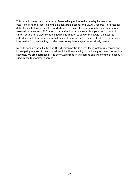This surveillance system continues to face challenges due to the time lag between the occurrence and the reporting of the incident from hospital and MDARD reports. This presents difficulties in following up with reported cases because of worker mobility, especially among seasonal farm workers. PCC reports are received promptly from Michigan's poison control center, but do not always contain enough information to allow contact with the exposed individual. Lack of information for follow-up often results in a case classification of "insufficient information" and an inability to refer cases to regulatory agencies in a timely manner.

Notwithstanding these limitations, the Michigan pesticide surveillance system is receiving and investigating reports of occupational pesticide illness and injury, including follow-up prevention activities. We are heartened by the downward trend in this decade and will continue to conduct surveillance to monitor this trend.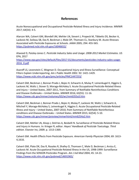# **References**

<span id="page-19-0"></span>Acute Nonoccupational and Occupational Pesticide-Related Illness and Injury Incidence. MMWR 2017; 64(54): 4-5.

Alarcon WA, Calvert GM, Blondell JM, Mehler LN, Sievert J, Propeck M, Tibbetts DS, Becker A, Lackovic M, Soileau SB, Das R, Beckman J, Male DP, Thomsen CL, Stanbury M. Acute Illnesses Associated with Pesticide Exposures at Schools*. JAMA* 2005; 294: 455-565. <https://pubmed.ncbi.nlm.nih.gov/16046652/>

Atwood D, Paisley-Jones C. *Pesticide Industry Sales and Usage: 2008-2012 Market Estimates.* US EPA, 2017 [https://www.epa.gov/sites/default/files/2017-01/documents/pesticides-industry-sales-usage-](https://www.epa.gov/sites/default/files/2017-01/documents/pesticides-industry-sales-usage-2016_0.pdf)[2016\\_0.pdf](https://www.epa.gov/sites/default/files/2017-01/documents/pesticides-industry-sales-usage-2016_0.pdf)

Azaroff LS, Levenstein C, Wegman D. Occupational Injury and Illness Surveillance: Conceptual Filters Explain Underreporting. *Am J Public Health* 2002. 92: 1421-1429. <https://www.ncbi.nlm.nih.gov/pmc/articles/PMC1447253/>

Calvert GM, Beckman J, Bonnar-Prado J, Bojes H, Schwartz A, Mulay P, Leinenkugel K, Higgins S, Lackovic M, Waltz J, Stover D, Moraga-McHaley S. Acute Occupational Pesticide-Related Illness and Injury – United States, 2007-2011, from Summary of Notifiable Noninfectious Conditions and Disease Outbreaks – United States. *MMWR* 2016; 63(55): 11-16. <https://www.cdc.gov/mmwr/volumes/63/wr/mm6355a3.htm>

Calvert GM, Beckman J, Bonnar-Prado J, Bojes H, Mulay P, Lackovic M, Waltz J, Schwartz A, Mitchell Y, Moraga-McHaley S, Leinenkugel K, Higgins S. Acute Occupational Pesticide-Related Illness and Injury – United States, 2007-2010, from Summary of Notifiable Noninfectious conditions and Disease Outbreaks – United States. *MMWR* 2015; 62(54): 5-10. <https://www.cdc.gov/mmwr/preview/mmwrhtml/mm6254a2.htm>

Calvert GM, Mehler LN, Alsop J, DeVries A, Besbelli N. Surveillance of Pesticide-Related Illness and Injury in Humans. In: Krieger R, editor. *Hayes' Handbook of Pesticide Toxicology*. *Third edition.* Elsevier Inc; 2009. p. 1313-1369.

Calvert GM. Health Effects from Pesticide Exposure. *American Family Physician* 2004; 69: 1613- 4,1616.

Calvert GM, Plate DK, Das R, Rosales R, Shafey O, Thomsen C, Male D, Beckman J, Arvizu E, Lackovic M. Acute Occupational Pesticide-Related Illness in the US, 1998-1999: Surveillance Findings from the SENSOR-Pesticides Program. *Am J Ind Med* 2004; 45: 14-23. <https://www.ncbi.nlm.nih.gov/pubmed/14691965/>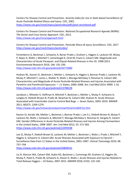Centers for Disease Control and Prevention. *Severity Index for Use in State-based Surveillance of Acute Pesticide-Related Illness and Injury.* CDC, 2001. <https://www.cdc.gov/niosh/topics/pesticides/pdfs/pest-sevindexv6.pdf>

Centers for Disease Control and Prevention. *National Occupational Research Agenda (NORA): The Sector and Cross-Sector Approach.* CDC, 2013. <https://www.cdc.gov/nora/approach.html>

Centers for Disease Control and Prevention. *Pesticide Illness & Injury Surveillance.* CDC, 2017 <https://www.cdc.gov/niosh/topics/pesticides/>

Fortenberry G, Beckman J, Schwartz A, Bonar-Prado J, Graham L, Higgins S, Lackovic M, Mulay P, Bojes H, Waltz J, Mitchell Y, Leinenkugel K, Oriel M, Evans E, Calvert GM. Magnitude and Characteristics of Acute Paraquat- and Diquat-Related Illnesses in the US: 1998-2013. *Environmental Research* 2016; 146: 191-199. <https://www.ncbi.nlm.nih.gov/pubmed/26775000>

Hudson NL, Kasner EJ, Beckman J, Mehler L, Schwartz A, Higgins S, Bonnar-Prado J, Lackovic M, Mulay P, Mitchell Y, Larios L, Walker R, Waltz J, Moraga-McHaley S, Roisman R, Calvert GM. Characteristics and Magnitude of Acute Pesticide-Related Illnesses and Injuries Associated with Pyrethrin and Pyrethroid Exposures — 11 States, 2000–2008. *Am J Ind Med* 2014; 9999: 1-16. <https://www.ncbi.nlm.nih.gov/pubmed/23788228>

Jacobson J, Wheeler K, Hoffman R, Mitchell Y, Beckman J, Mehler L, Mulay P, Schwartz A, Langley R, Diebolt-Brown B, Prado JB, Newman N, Calvert GM, Hudson N. Acute Illnesses Associated with Insecticides Used to Control Bed Bugs — Seven States, 2003–2010. *MMWR* 2011; 60(37): 1269-1274.

<https://www.cdc.gov/mmwr/preview/mmwrhtml/mm6037a1.htm>

Kasner EJ, Keralis JM, Mehler L, Beckman J, Bonnar-Prado J, Lee S-J, Diebolt-Brown B, Mulay P, Lackovic M, Waltz J, Schwartz A, Mitchell Y, Moraga-McHaley S, Roisman R, Gergely R, Calvert GM. Gender Differences in Acute Pesticide-Related Illnesses and Injuries Among Farmworkers in the United States, 1998–2007. *Am J Ind Med* 2012; 55: 571-583. <https://www.ncbi.nlm.nih.gov/pubmed/22495938>

Lee SJ, Mulay P, Diebolt-Brown B, Lackovic M, Mehler L, Beckman J, Waltz J, Prado J, Mitchell Y, Higgins S, Schwartz A, Calvert GM. Acute Illnesses Associated with Exposure to Fipronil – Surveillance Data from 11 States in the United States, 2001–2007. *Clinical Toxicology* 2010; 48: 737–744

<https://www.ncbi.nlm.nih.gov/pubmed/20849331>

Liu R, Alarcon WA, Calvert GM, Aubin KG, Beckman J, Cummings KR, Graham LS, Higgins SA, Mulay P, Patel K, Prado JB, Schwartz A, Stover D, Waltz J. Acute Illnesses and Injuries Related to Total Release Foggers – 10 States, 2007-2015. *MMWR* 2018; 67(4): 125-130.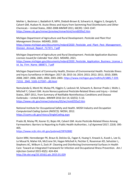Mehler L, Beckman J, Badakhsh R, MPH, Diebolt-Brown B, Schwartz A, Higgins S, Gergely R, Calvert GM, Hudson N. Acute Illness and Injury from Swimming Pool Disinfectants and Other Chemicals – United States, 2002-2008 *MMWR* 2011*;* 60(39): 1343-1347. <https://www.cdc.gov/mmwr/preview/mmwrhtml/mm6039a2.htm>

Michigan Department of Agriculture and Rural Development. *Pesticide and Plant Pest Management Division.* MDARD, 2020.

https://www.michigan.gov/documents/mdard/2020 Pesticide and Plant Pest Management Division Annual Report\_717371\_7.pdf

Michigan Department of Agriculture and Rural Development. *Pesticide Application Business Licenses Issued for Calendar Year 2021.* MDARD, 2021. https://www.michigan.gov/documents/mdard/2020 Pesticide Application Business License L [ist\\_by\\_Firm\\_Name\\_680871\\_7.pdf](https://www.michigan.gov/documents/mdard/2020_Pesticide_Application_Business_License_List_by_Firm_Name_680871_7.pdf)

Michigan Department of Community Health, Division of Environmental Health. Pesticide Illness and Injury Surveillance in Michigan: 2017-18; 2015-16; 2014; 2013; 2012; 2011; 2010; 2009; 2008; 2007; 2006; 2005; 2004; 2001-2003. [https://www.michigan.gov/mdhhs/0,5885,7-339-](https://www.michigan.gov/mdhhs/0,5885,7-339-71551_2945_5105-127397--,00.html) [71551\\_2945\\_5105-127397--,00.html](https://www.michigan.gov/mdhhs/0,5885,7-339-71551_2945_5105-127397--,00.html)

Namulanda G, Monti M, Mulay PR, Higgins S, Lackovic M, Schwartz A, Bonnar-Prado J, Waltz J, Mitchell Y, Calvert GM. Acute Nonoccupational Pesticide-Related Illness and Injury – United States, 2007-2011, from Summary of Notifiable Noninfectious Conditions and Disease Outbreaks – United States. *MMWR* 2016 Oct 14; 63(55): 5-10. <https://www.cdc.gov/mmwr/volumes/63/wr/mm6355a2.htm>

National Institute for Occupational Safety and Health. *NIOSH Industry and Occupation Computerized Coding System (NIOCCS).* NIOSH, 2012. <https://csams.cdc.gov/nioccs/SingleCoding.aspx>

Prado JB, Mulay PR, Kasner EJ, Bojes HK, Calvert GM. Acute Pesticide-Related Illness Among Farmworkers: Barriers to Reporting to Public Health Authorities. *J of Agromed* 2017; 22(4): 395- 405.

<https://www.ncbi.nlm.nih.gov/pubmed/28762882>

Quinn MM, Henneberger PK, Braun B, Delclos GL, Fagan K, Huang V, Knaack JL, Kusek L, Lee SJ, Le Moual N, Maher KA, McCrone SH, Hogan Mitchell A, Pechter E, Rosenman KD, Sehulster L, Stephens AC, Wilburn S, Zock JP. Cleaning and Disinfecting Environmental Surfaces in Health Care: Toward an Integrated Framework for Infection and Occupational Illness Prevention. *Am J Infection Control* 2015 43(5): 424-434.

<http://dx.doi.org/10.1016/j.ajic.2015.01.029>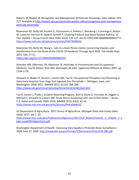Roberts JR, Reigart JR. *Recognition and Management of Pesticide Poisonings. Sixth edition.* EPA, 213. Available at [http://www2.epa.gov/pesticide-worker-safety/recognition-and-management](http://www2.epa.gov/pesticide-worker-safety/recognition-and-management-pesticide-poisonings)[pesticide-poisonings](http://www2.epa.gov/pesticide-worker-safety/recognition-and-management-pesticide-poisonings)

Rosenman KD, Reilly MJ, Pechter E, Fitzsimmons K, Flattery J, Weinberg J, Cummings K, Borjan M, Lumia M, Harrison R, Dodd K, Schleiff P. Cleaning Products and Work-Related Asthma, 10 Year Update. *J Occup Environ Med* 2020; 62(2): 130-137. doi:10.1097/JOM.0000000000001771 <https://www.ncbi.nlm.nih.gov/pmc/articles/PMC7839059/>

Rosenman KD**,** Reilly MJ, Wang L. Calls to a State Poison Center Concerning Cleaners and Disinfectants from the Onset of the COVID-19 Pandemic Through April 2020. Pub Health Reps 2021; 136: 27-31.

[https://doi.org/10.1177/0033354920962437](https://doi.org/10.1177%2F0033354920962437)

Schenker MB, Offerman, SR, Albertson TE. *Pesticides in Environmental and Occupational Medicine. Fourth Edition.* Rom WN, Markowitz SB (eds). Lippincott Williams & Wilkins 2007. pp 1158-1179.

Schwartz A, Walker R, Sievert J, Calvert GM, Tsai RJ. Occupational Phosphine Gas Poisoning at Veterinary Hospitals from Dogs that Ingested Zinc Phosphide — Michigan, Iowa, and Washington, 2006–2011. *MMWR* 2012*;* 61(16): 286-288. <https://www.cdc.gov/mmwr/preview/mmwrhtml/mm6116a3.htm>

Tsai R, Sievert J, Prado J, Incident Reporting Program, Buhl K, Stone D, Forrester M, Higgins S, Mitchell Y, Schwartz A, Calvert GM. Acute Illness Associated with Use of Pest Strips — Seven U.S. States and Canada, 2000–2014. *MMWR* 2014; 63(2): 42-43. <https://www.ncbi.nlm.nih.gov/pmc/articles/PMC4584652/>

US Department of Agriculture. 2017 Census of Agriculture. *Michigan State and County Data.*  USDA, 2017; Vol 1: 22.

[https://www.nass.usda.gov/Publications/AgCensus/2017/Full\\_Report/Volume\\_1,\\_Chapter\\_1\\_S](https://www.nass.usda.gov/Publications/AgCensus/2017/Full_Report/Volume_1,_Chapter_1_State_Level/Michigan/miv1.pdf) [tate\\_Level/Michigan/miv1.pdf](https://www.nass.usda.gov/Publications/AgCensus/2017/Full_Report/Volume_1,_Chapter_1_State_Level/Michigan/miv1.pdf)

<span id="page-22-0"></span>Washington Department of Health. Improving Data Quality in Pesticide Illness Surveillance -2004. June 17, 2004.<http://www.doh.wa.gov/Portals/1/Documents/Pubs/334-286.pdf>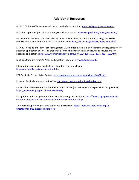# **Additional Resources**

MDHHS Division of Environmental Health pesticide information: [www.michigan.gov/mdch-toxics](file://hc.msu.edu/shares/CHM/OEM/Pesticide%20Surveillance%20Starting%202020/Annual%20Reports/2020/www.michigan.gov/mdch-toxics)

NIOSH occupational pesticide poisoning surveillance system[: www.cdc.gov/niosh/topics/pesticides/](file://hc.msu.edu/shares/CHM/OEM/Pesticide%20Surveillance%20Starting%202020/Annual%20Reports/2020/www.cdc.gov/niosh/topics/pesticides/)

Pesticide-Related Illness and Injury Surveillance: A How-To Guide for State-Based Programs DHHS (NIOSH) publication number 2006-102. October 2005:<http://www.cdc.gov/niosh/docs/2006-102/>

MDARD Pesticide and Plant Pest Management Division (for information on licensing and registration for pesticide application businesses, credentials for certified technicians, and laws and regulations for pesticide application): [https://www.michigan.gov/mdard/0,4610,7-125-1572\\_2875-8324--,00.html](https://www.michigan.gov/mdard/0,4610,7-125-1572_2875-8324--,00.html)

Michigan State University's Pesticide Education Program[: www.pested.msu.edu](file://hc.msu.edu/shares/CHM/OEM/Pesticide%20Surveillance%20Starting%202020/Annual%20Reports/2020/www.pested.msu.edu)

Information on pesticide products registered for use in Michigan: <http://npirspublic.ceris.purdue.edu/state/>

EPA Pesticide Product Label System:<http://oaspub.epa.gov/apex/pesticides/f?p=PPLS:1>

Extoxnet Pesticide Information Profiles:<http://extoxnet.orst.edu/pips/ghindex.html>

Information on the federal Worker Protection Standard (worker exposure to pesticides in agriculture): <https://www.epa.gov/pesticide-worker-safety>

Recognition and Management of Pesticide Poisonings, Sixth Edition: [http://www2.epa.gov/pesticide](http://www2.epa.gov/pesticide-worker-safety/recognition-and-management-pesticide-poisonings)[worker-safety/recognition-and-management-pesticide-poisonings](http://www2.epa.gov/pesticide-worker-safety/recognition-and-management-pesticide-poisonings)

<span id="page-23-0"></span>To report occupational pesticide exposures in Michigan[: https://oem.msu.edu/index.php/2](https://oem.msu.edu/index.php/2-uncategorised/28-disease-report-form) [uncategorised/28-disease-report-form](https://oem.msu.edu/index.php/2-uncategorised/28-disease-report-form)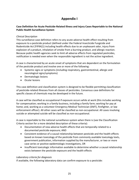# **Appendix I**

# <span id="page-24-0"></span>**Case Definition for Acute Pesticide-Related Illness and Injury Cases Reportable to the National Public Health Surveillance System**

# *Clinical Description*

This surveillance case definition refers to any acute adverse health effect resulting from exposure to a pesticide product (defined under the Federal Insecticide Fungicide and Rodenticide Act [FIFRA]1) including health effects due to an unpleasant odor, injury from explosion of a product, inhalation of smoke from a burning product, and allergic reaction. Because public health agencies seek to limit all adverse effects from regulated pesticides, notification is needed even when the responsible ingredient is not the active ingredient.

A case is characterized by an acute onset of symptoms that are dependent on the formulation of the pesticide product and involve one or more of the following:

- Systemic signs or symptoms (including respiratory, gastrointestinal, allergic and neurological signs/symptoms)
- Dermatologic lesions
- Ocular lesions

This case definition and classification system is designed to be flexible permitting classification of pesticide-related illnesses from all classes of pesticides. Consensus case definitions for specific classes of chemicals may be developed in the future.

A case will be classified as occupational if exposure occurs while at work (this includes working for compensation; working in a family business, including a family farm; working for pay at home; and, working as a volunteer Emergency Medical Technician (EMT), firefighter, or law enforcement officer). All other cases will be classified as non-occupational. All cases involving suicide or attempted suicide will be classified as non-occupational.

A case is reportable to the national surveillance system when there is (see the Classification Criteria section for a more detailed description of these criteria):

- Documentation of new adverse health effects that are temporally-related to a documented pesticide exposure; AND
- Consistent evidence of a causal relationship between pesticide and the health effects based on known toxicology of the pesticide from commonly available toxicology texts, government publication, information supplied by the manufacturer, or two or more case series or positive epidemiologic investigations, OR
- Insufficient toxicologic information available to determine whether a causal relationship exists between the pesticide exposure and the health effects

# *Laboratory criteria for diagnosis*

If available, the following laboratory data can confirm exposure to a pesticide: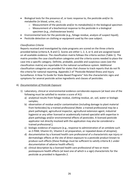- Biological tests for the presence of, or toxic response to, the pesticide and/or its metabolite (in blood, urine, etc.);
	- o Measurement of the pesticide and/or its metabolite(s) in the biological specimen
	- o Measurement of a biochemical response to the pesticide in a biological specimen (e.g., cholinesterase levels)
- Environmental tests for the pesticide (e.g., foliage residue, analysis of suspect liquid);
- Pesticide detection on clothing or equipment used by the case subject.

# *Classification Criteria*

Reports received and investigated by state programs are scored on the three criteria provided below (criteria A, B and C). Scores are either 1, 2, 3, or 4, and are assigned based on all available evidence. The classification matrix follows the criteria section (Table 1). The matrix provides the case classification categories and the criteria scores needed to place the case into a specific category. Definite, probable, possible and suspicious cases (see the classification matrix) are reportable to the national surveillance system. Additional classification categories are provided for states that choose to track reports that do not fit the criteria for national reporting. Appendix 2 of "Pesticide-Related Illness and Injury Surveillance: A How-To Guide for State-Based Programs" lists the characteristic signs and symptoms for several pesticide active ingredients and classes of pesticides.

# A) *Documentation of Pesticide Exposure*

- 1) Laboratory, clinical or environmental evidence corroborate exposure (at least one of the following must be satisfied to receive a score of A1):
	- a) analytical results from foliage residue, clothing residue, air, soil, water or biologic samples;
	- b) observation of residue and/or contamination (including damage to plant material from herbicides) by a trained professional [Note: a trained professional may be a plant pathologist, agricultural inspector, agricultural extension agent, industrial hygienist or any other licensed or academically trained specialist with expertise in plant pathology and/or environmental effects of pesticides. A licensed pesticide applicator not directly involved with the application may also be considered a trained professional.];
	- c) biologic evidence of exposure (e.g., response to administration of an antidote such as 2-PAM, Vitamin K1, Vitamin E oil preparation, or repeated doses of atropine);
	- d) documentation by a licensed health care professional of a characteristic eye injury or dermatologic effects at the site of direct exposure to a pesticide product known to produce such effects (these findings must be sufficient to satisfy criteria B.1 under documentation of adverse health effect);
	- e) clinical description by a licensed health care professional of two or more postexposure health effects (at least one of which is a sign) characteristic for the pesticide as provided in Appendix 2.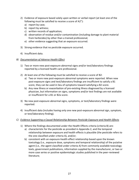- 2) Evidence of exposure based solely upon written or verbal report (at least one of the following must be satisfied to receive a score of A2"):
	- a) report by case;
	- b) report by witness;
	- c) written records of application;
	- d) observation of residue and/or contamination (including damage to plant material from herbicides) by other than a trained professional;
	- e) other evidence suggesting that an exposure occurred.
- 3) Strong evidence that no pesticide exposure occurred.
- 4) Insufficient data.
- *B) Documentation of Adverse Health Effect*
	- 1) Two or more new post-exposure abnormal signs and/or test/laboratory findings reported by a licensed health care professional.
	- 2) At least one of the following must be satisfied to receive a score of B2:
		- a) Two or more new post-exposure abnormal symptoms were reported. When new post-exposure signs and test/laboratory findings are insufficient to satisfy a B1 score, they can be used in lieu of symptoms toward satisfying a B2 score.
		- b) Any new illness or exacerbation of pre-existing illness diagnosed by a licensed physician, but information on signs, symptoms and/or test findings are not available or insufficient for a B1 or B2a score.
	- 3) No new post-exposure abnormal signs, symptoms, or test/laboratory findings were reported.
	- 4) Insufficient data (includes having only one new post-exposure abnormal sign, symptom, or test/laboratory finding).
- *C) Evidence Supporting a Causal Relationship Between Pesticide Exposure and Health Effects*
	- 1) Where the findings documented under the Health Effects criteria (criteria B) are:
		- a) characteristic for the pesticide as provided in Appendix 2, and the temporal relationship between exposure and health effects is plausible (the pesticide refers to the one classified under criteria A), and/or;
		- b) consistent with an exposure-health effect relationship based upon the known toxicology (i.e., exposure dose, symptoms and temporal relationship) of the putative agent (i.e., the agent classified under criteria A) from commonly available toxicology texts, government publications, information supplied by the manufacturer, or two or more case series or positive epidemiologic studies published in the peer-reviewed literature;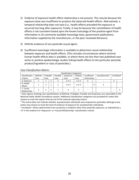- 2) Evidence of exposure-health effect relationship is not present. This may be because the exposure dose was insufficient to produce the observed health effects. Alternatively, a temporal relationship does not exist (i.e., health effects preceded the exposure or occurred too long after exposure). Finally, it may be because the constellation of health effects is not consistent based upon the known toxicology of the putative agent from information in 25 commonly available toxicology texts, government publications, information supplied by the manufacturer, or the peer-reviewed literature;
- 3) Definite evidence of non-pesticide causal agent;
- 4) Insufficient toxicologic information is available to determine causal relationship between exposure and health effects. (This includes circumstances where minimal human health effects data is available, or where there are less than two published case series or positive epidemiologic studies linking health effects to the particular pesticide product/ingredient or class of pesticides.)

| Classification Categories <sup>1</sup> |          |          |  |          |            |          |              |   |                           |                        |  |
|----------------------------------------|----------|----------|--|----------|------------|----------|--------------|---|---------------------------|------------------------|--|
| Classification                         | Definite | Probable |  | Possible | Suspicious | Unlikelv | Insufficient |   | Asymptomatic <sup>2</sup> | Unrelated <sup>3</sup> |  |
| Criteria                               | Case     | Case     |  | Case     | Case       | Case     | Information  |   |                           |                        |  |
| A. Exposure                            |          |          |  |          | 1 or 2     | 1 or 2   | 4            | - |                           |                        |  |
| B. Health                              |          |          |  |          | 1 or 2     | 1 or 2   |              | 4 |                           | -                      |  |
| Effects                                |          |          |  |          |            |          |              |   |                           |                        |  |
| C. Causal                              |          |          |  |          | 4          |          |              |   |                           |                        |  |
| Relationship                           |          |          |  |          |            |          | -            |   |                           | -                      |  |

#### *Case Classification Matrix:*

 $\frac{1}{1}$  Only reports meeting case classifications of Definite, Probable, Possible and Suspicious are reportable to the National Public Health Surveillance system. Additional classification categories are provided for states that choose to track the reports that do not fit the national reporting criteria.

 $<sup>2</sup>$  The matrix does not indicate whether asymptomatic individuals were exposed to pesticides although some</sup> states may choose to track the level of evidence of exposure for asymptomatic individuals.

 $3$  Unrelated = Illness determined to be caused by a condition other than pesticide exposure, as indicated by a >3' in the evidence of >Exposure= or >Causal Relationship= classification criteria.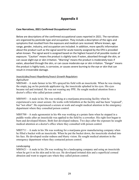# **Appendix II**

## <span id="page-28-0"></span>**Case Narratives, 2021 Confirmed Occupational Cases**

Below are descriptions of the confirmed occupational cases reported in 2021. The narratives are organized by pesticide type and occupation. They include a description of the signs and symptoms that resulted from the exposure and medical care received. Where known, age range, gender, industry, and occupation are included. In addition, more specific information about the product such as the signal word for acute toxicity assigned by the EPA is provided when known. The signal word is assigned based on the highest hazard of all possible routes of exposure. "Caution" means the product is slightly toxic if eaten, absorbed through the skin, or can cause slight eye or skin irritation. "Warning" means the product is moderately toxic if eaten, absorbed through the skin, or can cause moderate eye or skin irritation. "Danger" means the product is highly toxic, is corrosive, or causes severe burning to the eye or skin that can result in irreversible damage.

# *Insecticides/Insect Repellents/Insect Growth Regulators*

#### *Agriculture*

 $M105640 - A$  male farmer in his 50's sprayed his field with an insecticide. When he was rinsing the empty jug on his pesticide applicator rig, the insecticide splashed in his eyes. His eyes became red and irritated. He was not wearing any PPE. He sought medical attention from a doctor's office who called poison control.

MI05693 – A male in his 30s was working at a marijuana processing facility when he experienced a new onset seizure. He works with bifenthrin at the facility and has been "exposed", but "not often". He experienced a seizure at work and sought medical attention in the emergency department where they consulted poison control.

MI05700 – A male agronomist in his 40s was working at a potato farm when he stepped in a puddle weeks after an insecticide was applied to the field by a coworker. His right foot began to burn and developed blisters. Both feet developed redness. Two days after the exposure he sought medical attention at a doctor's office where they consulted with poison control.

 $M105711 - A$  male in his 30s was working for a marijuana grow manufacturing company when he filled a bucket with an insecticide. When he put the bucket down, the insecticide sloshed into his face. He developed ocular redness and blurry vision. He sought medical attention in the emergency department where they contacted poison control.

#### *Landscaping*

 $M105621 - A$  male in his 20s was working for a landscaping company and using an insecticide when he got it on his skin and in his eye. He developed irritated skin and a superficial corneal abrasion and went to urgent care where they called poison control.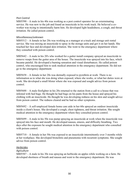## *Pest Control*

MI05590 – A male in his 40s was working as a pest control operator for an exterminating service. He was new to the job and found an insecticide in his work truck. He believed a coworker was trying to intentionally harm him. He developed light headedness, a cough, and throat irritation. He called poison control.

#### *Miscellaneous/unknown*

MI05512 – A female in her 20s was working as a manager at a truck and storage unit rental service. She was mixing an insecticide to spray in the storage units and got it on her hands. She touched her face and developed skin irritation. She went to the emergency department where they consulted with poison control.

MI05642 – A male in his 20's who worked for a gutter install company sprayed an insecticide to remove wasps from the gutter area of the house. The insecticide was sprayed into his face, which became painful. He developed a burning sensation and visual disturbances. He called poison control, who encouraged him to seek medical attention in the emergency department. He did not go to the emergency department.

MI05658 – A female in her 20s was dermally exposed to pyrethrin at work. There is no information as to what she was doing when exposed, where she works, or what her duties were at work. She developed a small blister where she was exposed and sought advice from poison control.

MI05688 – A male firefighter in his 20s returned to the station from a call to a house that was infested with bed bugs. He thought he had bugs on his pants from the house and sprayed his clothing with an insecticide. He thought he was developing redness on his skin and sought advice from poison control. The redness cleared and he had no other symptoms.

MI05692 – A self-employed female home care aide in her 60s sprayed an outdoor insecticide inside a client's house. She developed a cough, chest tightness, and throat irritation. She sought medical attention in the emergency department where they consulted poison control.

MI05699 – A male in his 50s was pump spraying an insecticide at work when the insecticide was sprayed into his face and mouth. He developed nausea, emesis, and difficulty breathing. Two days after the exposure he sought medical attention in the emergency department who consulted with poison control.

 $M105710 - A$  female in her 50s was exposed to an insecticide intermittently over 3 months while at her workplace. She developed bronchitis and pneumonia with recurrent symptoms. She sought advice from poison control.

#### *Herbicides*

#### *Agriculture*

MI05587 – A male in his 30s was spraying an herbicide on apples while working on a farm. He developed shortness of breath and nausea and went to the emergency department. He was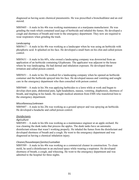diagnosed as having acute chemical pneumonitis. He was prescribed a bronchodilator and an oral steroid.

MI05605 – A male in his 40s was working maintenance at a marijuana manufacturer. He was grinding the trash which contained used jugs of herbicide and inhaled the fumes. He developed a cough and shortness of breath and went to the emergency department. They now are required to wear respirators when grinding the trash.

### *Landscaping*

MI05617 – A male in his 40s was working as a landscaper when he was using an herbicide with phosphoric acid. It splashed on his face. He developed a small burn on his chin and called poison control.

MI05631 – A male in his 60's, who owned a landscaping company was downwind from an application of an herbicide containing Glyphosate. The applicator was adjacent to the house where he was landscaping. He had dermal and inhalation exposure. He developed throat irritation and called poison control.

MI05651 – A male in his 30s worked for a landscaping company when he opened an herbicide container and the herbicide sprayed into his face. He developed nausea and vomiting and sought care in the emergency department who then consulted with poison control.

MI05660 – A male in his 30s was applying herbicides to a lawn while at work and began to develop chest pain, abdominal pain, light headedness, nausea, vomiting, diaphoresis, shortness of breath, and tingling in his hands. He sought medical attention from EMS who transferred him to the emergency department.

#### *Miscellaneous/unknown*

MI05607 – A male in his 20s was working as a ground sprayer and was spraying an herbicide. He developed a headache and called poison control.

# *Disinfectants*

# *Agriculture*

MI05491 – A male in his 60s was working as a maintenance engineer at an apple orchard. He was cleaning the dunk tanks that process the apples. The dunk tanks have an automatic disinfectant release that wasn't working properly. He inhaled the fumes from the disinfectant and developed shortness of breath and a cough. He went to the emergency department and was diagnosed as having a chemical inhalation injury.

#### *Cleaner/housekeeper/janitor/custodian*

MI05589 – A male in his 40s was working as a commercial cleaner in construction. To clean mold, he used a disinfectant in an enclosed space while wearing a respirator. He developed shortness of breath, a cough, and wheezing. He went to the emergency department and was admitted to the hospital for three nights.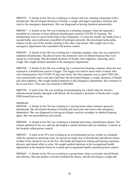MI05593 – A female in her 50s was working as a cleaner and was cleaning a basement with a disinfectant. She developed shortness of breath, a cough, and upper respiratory irritation and went to the emergency department. She was diagnosed as having chemical pneumonitis.

MI05667 – A female in her 50s was working for a cleaning company when she ingested a mouthful of a mixture of three different disinfectants used for COVID-19 cleaning. The disinfectants were in a juice bottle kept in the refrigerator. To rinse her mouth, she drank from a second bottle, and swallowed a mouthful of hydrogen peroxide. She developed tachycardia, redness on the roof of her mouth, burning in her chest, and emesis. She sought care in the emergency department who consulted with poison control.

MI05685 – A female in her 20s was working for a cleaning company when she was exposed to undiluted disinfectants. She did not know the chemicals were not diluted because they were stored in a wall pump. She developed shortness of breath, chest tightness, wheezing, and a cough. She sought medical attention in the emergency department.

MI05705 – A female in her 60s was working for a commercial cleaning company when she was exposed to a disinfectant used in a fogger. The fogger was used in areas where workers who were found positive for COVID-19 may have been. Her first exposure was in April 2020. She was exposed daily and a year and a half later she developed fatigue, a cough, shortness of breath, and chest tightness. She sought medical attention in the emergency department. She continues to be on sick leave. This case was referred to MDARD.

MI05709 – A male in his 20s was working in housekeeping for a hotel when he mixed a chlorine-based laundry detergent with bleach. He developed a shortness of breath and a cough. EMS treated him on site.

#### *Healthcare*

MI05588 – A female in her 50s was working in a nursing home when someone sprayed a disinfectant. She developed shortness of breath and chest pain and went to the emergency department. She was diagnosed as having an allergic reaction secondary to inhaled cleaning agent. She was prescribed an oral steroid.

MI05609 – A female in her 50s was working in a hospital and using a disinfectant cleaner. The cleaner splashed in her eye, and she developed a corneal abrasion and eye irritation. A doctor at the hospital called poison control.

MI05641 – A male in his 30's was working as an environmental service worker at a hospital. After he cleaned an operating room, he moved an empty box of disinfectant and did not realize residue of the chemical was on the box. His hands developed an itching and burning sensation, dryness, and turned white in color. He sought medical attention in the occupational health department in the hospital where he worked and occupational health consulted poison control.

MI05662 – A female in her 30s was working at a group home when a coworker mixed bleach and chlorine. She and another coworker breathed the fumes, and she developed a cough and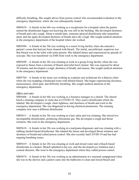difficulty breathing. She sought advice from poison control who recommended evaluation in the emergency department, where she was subsequently treated.

MI05676 – A female in her 60s was working as a receptionist for a hospital when the janitor started the disinfectant fogger not knowing she was still in the building. She developed shortness of breath and a dry cough. About a month later, someone sprayed disinfectant odor neutralizer spray and she again developed shortness of breath and a dry cough. She sought medical attention in the emergency department of the hospital where she worked.

MI05696 – A female in her 50s was working in a senior living facility when she entered a patient's room that had just been cleaned with bleach. The initial, unconfirmed, suspicion was that bleach was in the toilet with urine present. She inhaled fumes and experienced an episode of syncope. She was transferred via EMS from work to the emergency department.

MI05698 – A female in her 20s was cleaning at work in a group living facility when she was exposed to fumes from a mixture of bleach and toilet bowl cleaner. She was exposed for about 30 minutes and developed a cough, shortness of breath, and nausea. She sought medical attention in the emergency department.

MI05704 – A female in her teens was working as a patient care technician for a dialysis clinic when she was mopping a biohazard room with diluted bleach. She began experiencing dizziness, nauseousness, chest pain, and difficulty breathing. She sought medical attention in the emergency department.

# *Office and sales*

MI05606 – A female in her 60s was working as a business manager in a church. The church hired a cleaning company to clean due to COVID-19. They used a disinfectant which she inhaled. She developed a cough, chest tightness, and shortness of breath and went to the emergency department. She was diagnosed as having chemical pneumonia. The cleaning company now uses a different disinfectant.

MI05611 – A female in her 30s was working at a hair salon and was cleaning. She mixed two incompatible disinfectants, producing chloramine gas. She developed a cough and throat irritation. She went to the emergency department.

MI05618 – A female in her 20s was working at a marijuana dispensary and was cleaning with a rubbing alcohol-based disinfectant. She inhaled the fumes and developed throat irritation and shortness of breath and called poison control. She also recently had COVID-19 and has had ongoing breathing issues.

MI05619 – A female in her 20s was cleaning at work and mixed water and a bleach-based disinfectant in a bucket. Bleach splashed in her eye, and she developed eye irritation and a corneal abrasion. She went to the emergency department where they called poison control.

MI05674 – A female in her 30s was working as an administrator at a seasonal campground when she was in the shower and a janitor came into the bathroom to clean and mixed bleach and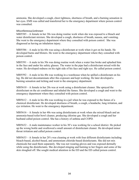ammonia. She developed a cough, chest tightness, shortness of breath, and a burning sensation in her eyes. EMS was called and transferred her to the emergency department where poison control was consulted.

### *Miscellaneous/unknown*

MI05585 – A female in her 30s was doing routine work when she was exposed to a bleach and water disinfectant mixture. She developed a cough, shortness of breath, nausea, and vomiting. She went to the emergency department where they consulted with poison control. She was diagnosed as having an inhalation injury.

MI05586 – A male in his 60s was using a disinfectant at work when it got on his hands. He developed burns and blisters. He went to the emergency department where they consulted with poison control.

MI05591 – A male in his 50s was doing routine work when a water line broke and splashed him in the face and under his safety glasses. The water in the pipe had a disinfectant mixed with the water. He developed redness on his right side of his face and right eye. He called poison control.

MI05592 – A male in his 40s was working in a warehouse when he spilled a disinfectant on his leg. He did not decontaminate after this exposure and kept working. He later developed a burning sensation and itching and went to the emergency department.

MI05610 – A female in her 20s was at work using a disinfectant cleaner. She sprayed the disinfectant on the air conditioner and inhaled the fumes. She developed a cough and went to the emergency department where they consulted with poison control.

MI05612 – A male in his 40s was working in a jail when he was exposed to the fumes of a chemical disinfectant. He developed shortness of breath, a cough, a headache, lung irritation, and eye irritation. He went to the emergency department.

MI05616 – A female in her 40s was using disinfectants at work when she mixed bleach and an ammonia-based toilet bowl cleaner, producing chlorine gas. She developed a cough and her husband called poison control. She has a history of asthma and COPD.

MI05632 – A male maintenance worker in his 30's was working for a school district. He picked up the wrong bottle and swallowed a small amount of disinfectant cleaner. He developed minor throat irritation and called poison control.

MI05633 – A female in her 20's was cleaning at work with four different disinfectants including bleach-based, alcohol-based, and ammonium chloride-based disinfectants. She did not mix chemicals but used them separately. She was not wearing gloves and was exposed dermally while using the disinfectants. She developed stinging and burning to her fingers and some of the skin sloughed off. She sought medical attention in the ED and the ED called poison control.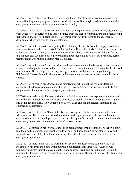MI05661 – A female in her 20s mixed water and bleach for cleaning at work and inhaled the fumes. She began coughing and had an episode of emesis. She sought medical attention in the emergency department at the requirement of her employer.

MI05668 – A female in her 50s was working for a power plant when she was using bleach mixed with water to clean surfaces. She inhaled fumes from the bleach water mixture and began feeling lightheaded and lost peripheral vision. EMS transported her from work to the emergency department where she sought medical attention.

MI05669 – A male in his 40s was getting floor cleaning chemicals from the supply closet of a steel manufacturer where he worked. He bumped a shelf and chemicals fell into a bucket, mixing toilet bowl cleaner, bleach, and an ammonium chloride-based disinfectant. He inhaled fumes of this mixture and developed difficulty breathing. EMS treated him on site, but he refused further treatment and was released against medical advice.

MI05675 – A male in his 20s was working in the construction and landscaping industry cleaning a fence. He thought he had rinsed all the bleach out of a bucket and used the same bucket to hold muriatic acid. He developed wheezing, a cough, shortness of breath, and began feeling lightheaded. He sought medical attention in the emergency department who consulted poison control.

MI05684 – A female in her 20s was using disinfectants while working for a car detailing company. She developed a cough and shortness of breath. She was not wearing any PPE. She sought medical attention in the emergency department.

MI05686 – A male in his 50s was working on a freighter when he was exposed to the fumes of a mix of bleach and delimer. He developed shortness of breath, wheezing, a cough, chest tightness, and began feeling dizzy. He was treated on site by EMS and sought medical attention in the emergency department.

MI05691 – A female in her 40s mistakenly took two sips of a bathroom disinfectant cleaner while at work. The cleaner was stored in a water bottle by a coworker. She had a self-induced episode of emesis and developed throat pain and chest pain. She sought medical attention in the emergency department where they consulted poison control.

MI05697 – A female in her 40s was exposed to bleach fumes while cleaning for over two hours. She took multiple breaks and had the windows open and used fans. She developed itchy and irritated eyes, a scratchy throat, and shortness of breath. She sought medical attention in the emergency department.

MI05712 – A male in his 30s was working for a plastics manufacturing company and was splashed on his arms and boots while pouring a disinfectant into large vats. When he was removing his boots later that day, his left leg and foot were red, and he had a rash. The next morning his leg and foot developed blisters and began itching. He sought medical attention in the emergency department.